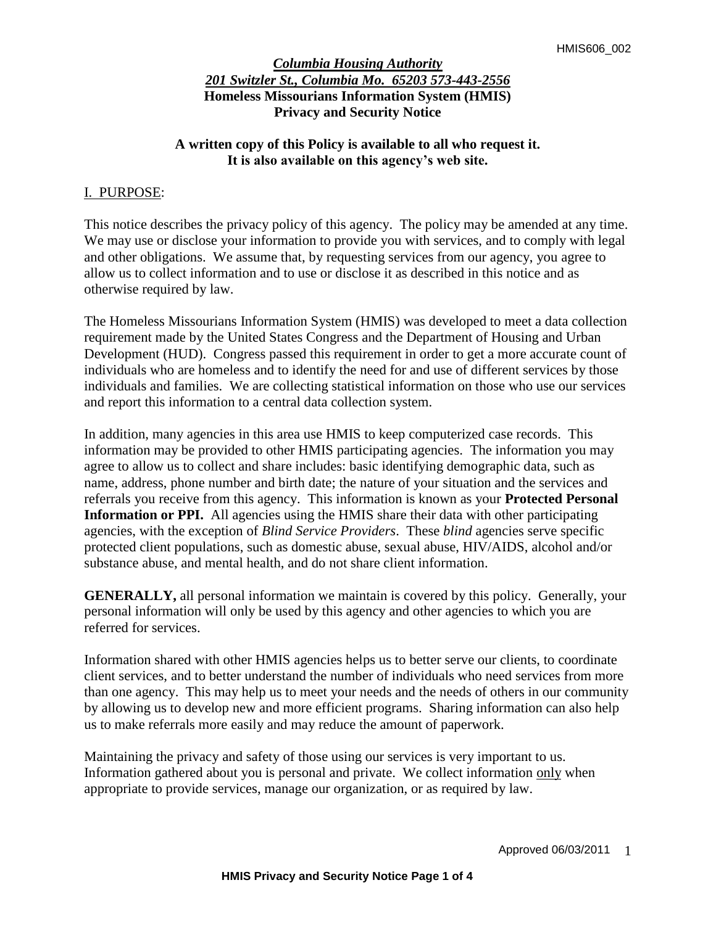## **A written copy of this Policy is available to all who request it. It is also available on this agency's web site.**

#### I. PURPOSE:

This notice describes the privacy policy of this agency. The policy may be amended at any time. We may use or disclose your information to provide you with services, and to comply with legal and other obligations. We assume that, by requesting services from our agency, you agree to allow us to collect information and to use or disclose it as described in this notice and as otherwise required by law.

The Homeless Missourians Information System (HMIS) was developed to meet a data collection requirement made by the United States Congress and the Department of Housing and Urban Development (HUD). Congress passed this requirement in order to get a more accurate count of individuals who are homeless and to identify the need for and use of different services by those individuals and families. We are collecting statistical information on those who use our services and report this information to a central data collection system.

In addition, many agencies in this area use HMIS to keep computerized case records. This information may be provided to other HMIS participating agencies. The information you may agree to allow us to collect and share includes: basic identifying demographic data, such as name, address, phone number and birth date; the nature of your situation and the services and referrals you receive from this agency. This information is known as your **Protected Personal Information or PPI.** All agencies using the HMIS share their data with other participating agencies, with the exception of *Blind Service Providers*. These *blind* agencies serve specific protected client populations, such as domestic abuse, sexual abuse, HIV/AIDS, alcohol and/or substance abuse, and mental health, and do not share client information.

**GENERALLY,** all personal information we maintain is covered by this policy. Generally, your personal information will only be used by this agency and other agencies to which you are referred for services.

Information shared with other HMIS agencies helps us to better serve our clients, to coordinate client services, and to better understand the number of individuals who need services from more than one agency. This may help us to meet your needs and the needs of others in our community by allowing us to develop new and more efficient programs. Sharing information can also help us to make referrals more easily and may reduce the amount of paperwork.

Maintaining the privacy and safety of those using our services is very important to us. Information gathered about you is personal and private. We collect information only when appropriate to provide services, manage our organization, or as required by law.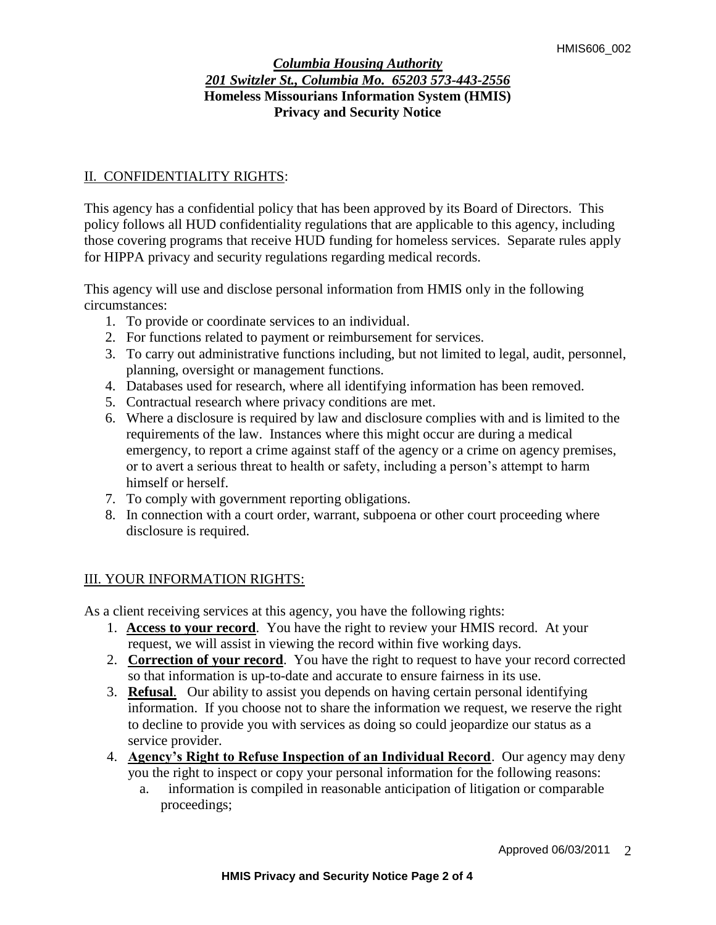# II. CONFIDENTIALITY RIGHTS:

This agency has a confidential policy that has been approved by its Board of Directors. This policy follows all HUD confidentiality regulations that are applicable to this agency, including those covering programs that receive HUD funding for homeless services. Separate rules apply for HIPPA privacy and security regulations regarding medical records.

This agency will use and disclose personal information from HMIS only in the following circumstances:

- 1. To provide or coordinate services to an individual.
- 2. For functions related to payment or reimbursement for services.
- 3. To carry out administrative functions including, but not limited to legal, audit, personnel, planning, oversight or management functions.
- 4. Databases used for research, where all identifying information has been removed.
- 5. Contractual research where privacy conditions are met.
- 6. Where a disclosure is required by law and disclosure complies with and is limited to the requirements of the law. Instances where this might occur are during a medical emergency, to report a crime against staff of the agency or a crime on agency premises, or to avert a serious threat to health or safety, including a person's attempt to harm himself or herself.
- 7. To comply with government reporting obligations.
- 8. In connection with a court order, warrant, subpoena or other court proceeding where disclosure is required.

# III. YOUR INFORMATION RIGHTS:

As a client receiving services at this agency, you have the following rights:

- 1. **Access to your record**. You have the right to review your HMIS record. At your request, we will assist in viewing the record within five working days.
- 2. **Correction of your record**. You have the right to request to have your record corrected so that information is up-to-date and accurate to ensure fairness in its use.
- 3. **Refusal**. Our ability to assist you depends on having certain personal identifying information. If you choose not to share the information we request, we reserve the right to decline to provide you with services as doing so could jeopardize our status as a service provider.
- 4. **Agency's Right to Refuse Inspection of an Individual Record**. Our agency may deny you the right to inspect or copy your personal information for the following reasons:
	- a. information is compiled in reasonable anticipation of litigation or comparable proceedings;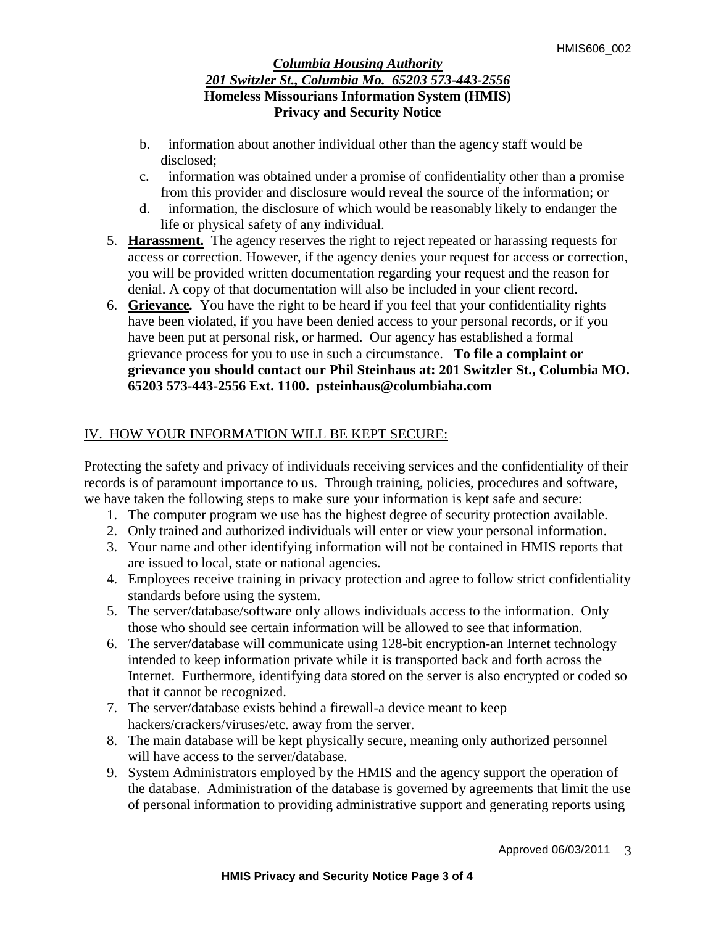- b. information about another individual other than the agency staff would be disclosed;
- c. information was obtained under a promise of confidentiality other than a promise from this provider and disclosure would reveal the source of the information; or
- d. information, the disclosure of which would be reasonably likely to endanger the life or physical safety of any individual.
- 5. **Harassment.**The agency reserves the right to reject repeated or harassing requests for access or correction. However, if the agency denies your request for access or correction, you will be provided written documentation regarding your request and the reason for denial. A copy of that documentation will also be included in your client record.
- 6. **Grievance***.* You have the right to be heard if you feel that your confidentiality rights have been violated, if you have been denied access to your personal records, or if you have been put at personal risk, or harmed. Our agency has established a formal grievance process for you to use in such a circumstance.**To file a complaint or grievance you should contact our Phil Steinhaus at: 201 Switzler St., Columbia MO. 65203 573-443-2556 Ext. 1100. psteinhaus@columbiaha.com**

# IV. HOW YOUR INFORMATION WILL BE KEPT SECURE:

Protecting the safety and privacy of individuals receiving services and the confidentiality of their records is of paramount importance to us. Through training, policies, procedures and software, we have taken the following steps to make sure your information is kept safe and secure:

- 1. The computer program we use has the highest degree of security protection available.
- 2. Only trained and authorized individuals will enter or view your personal information.
- 3. Your name and other identifying information will not be contained in HMIS reports that are issued to local, state or national agencies.
- 4. Employees receive training in privacy protection and agree to follow strict confidentiality standards before using the system.
- 5. The server/database/software only allows individuals access to the information. Only those who should see certain information will be allowed to see that information.
- 6. The server/database will communicate using 128-bit encryption-an Internet technology intended to keep information private while it is transported back and forth across the Internet. Furthermore, identifying data stored on the server is also encrypted or coded so that it cannot be recognized.
- 7. The server/database exists behind a firewall-a device meant to keep hackers/crackers/viruses/etc. away from the server.
- 8. The main database will be kept physically secure, meaning only authorized personnel will have access to the server/database.
- 9. System Administrators employed by the HMIS and the agency support the operation of the database. Administration of the database is governed by agreements that limit the use of personal information to providing administrative support and generating reports using